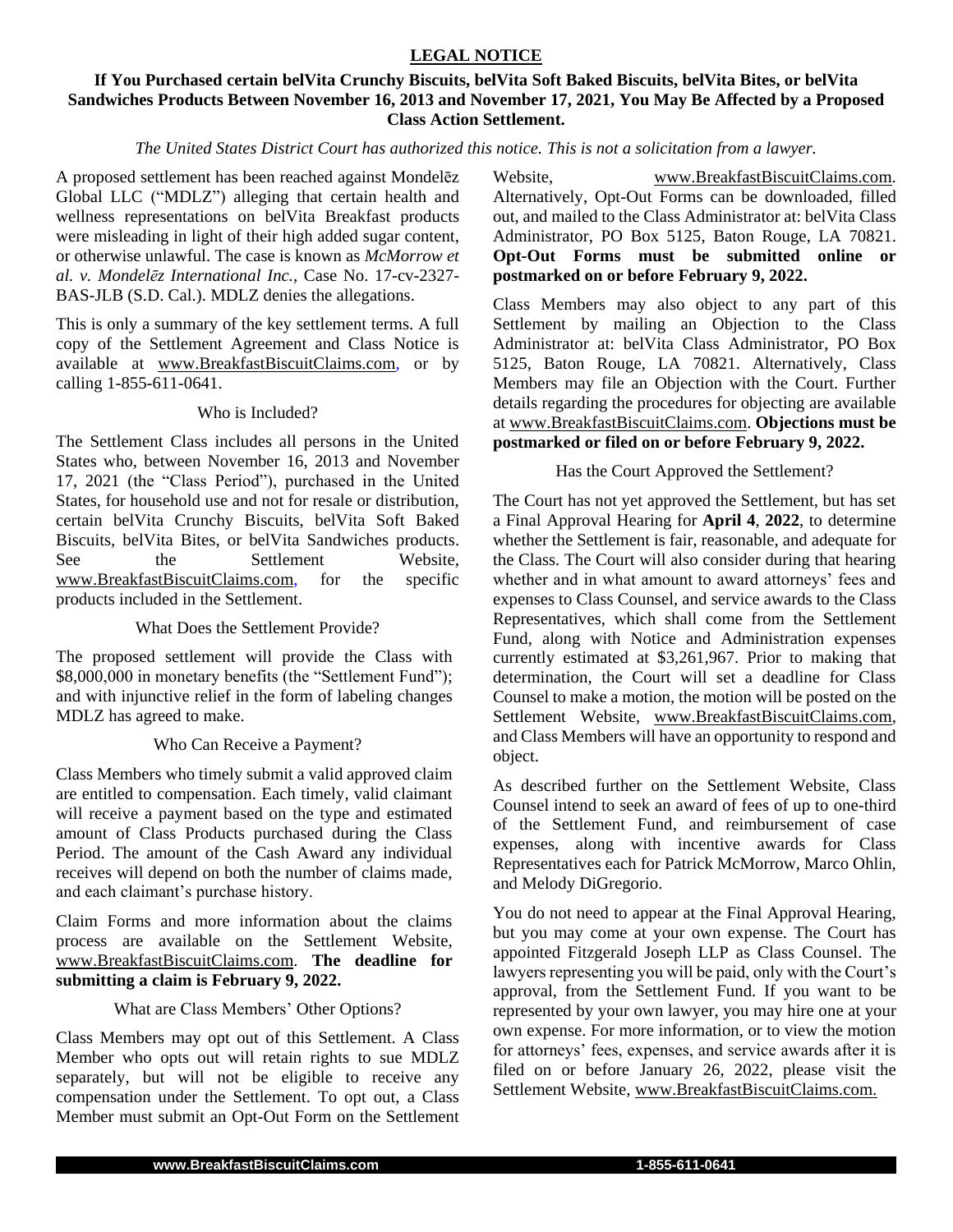## **LEGAL NOTICE**

## **If You Purchased certain belVita Crunchy Biscuits, belVita Soft Baked Biscuits, belVita Bites, or belVita Sandwiches Products Between November 16, 2013 and November 17, 2021, You May Be Affected by a Proposed Class Action Settlement.**

#### *The United States District Court has authorized this notice. This is not a solicitation from a lawyer.*

A proposed settlement has been reached against Mondelēz Global LLC ("MDLZ") alleging that certain health and wellness representations on belVita Breakfast products were misleading in light of their high added sugar content, or otherwise unlawful. The case is known as *McMorrow et al. v. Mondelēz International Inc.*, Case No. 17-cv-2327- BAS-JLB (S.D. Cal.). MDLZ denies the allegations.

This is only a summary of the key settlement terms. A full copy of the Settlement Agreement and Class Notice is available at www.BreakfastBiscuitClaims.com, or by calling 1-855-611-0641.

#### Who is Included?

The Settlement Class includes all persons in the United States who, between November 16, 2013 and November 17, 2021 (the "Class Period"), purchased in the United States, for household use and not for resale or distribution, certain belVita Crunchy Biscuits, belVita Soft Baked Biscuits, belVita Bites, or belVita Sandwiches products. See the Settlement Website,<br>www.BreakfastBiscuitClaims.com, for the specific www.BreakfastBiscuitClaims.com, for the products included in the Settlement.

#### What Does the Settlement Provide?

The proposed settlement will provide the Class with \$8,000,000 in monetary benefits (the "Settlement Fund"); and with injunctive relief in the form of labeling changes MDLZ has agreed to make.

### Who Can Receive a Payment?

Class Members who timely submit a valid approved claim are entitled to compensation. Each timely, valid claimant will receive a payment based on the type and estimated amount of Class Products purchased during the Class Period. The amount of the Cash Award any individual receives will depend on both the number of claims made, and each claimant's purchase history.

Claim Forms and more information about the claims process are available on the Settlement Website, www.BreakfastBiscuitClaims.com. **The deadline for submitting a claim is February 9, 2022.**

#### What are Class Members' Other Options?

Class Members may opt out of this Settlement. A Class Member who opts out will retain rights to sue MDLZ separately, but will not be eligible to receive any compensation under the Settlement. To opt out, a Class Member must submit an Opt-Out Form on the Settlement

Website, www.BreakfastBiscuitClaims.com. Alternatively, Opt-Out Forms can be downloaded, filled out, and mailed to the Class Administrator at: belVita Class Administrator, PO Box 5125, Baton Rouge, LA 70821. **Opt-Out Forms must be submitted online or postmarked on or before February 9, 2022.**

Class Members may also object to any part of this Settlement by mailing an Objection to the Class Administrator at: belVita Class Administrator, PO Box 5125, Baton Rouge, LA 70821. Alternatively, Class Members may file an Objection with the Court. Further details regarding the procedures for objecting are available at www.BreakfastBiscuitClaims.com. **Objections must be postmarked or filed on or before February 9, 2022.**

### Has the Court Approved the Settlement?

The Court has not yet approved the Settlement, but has set a Final Approval Hearing for **April 4**, **2022**, to determine whether the Settlement is fair, reasonable, and adequate for the Class. The Court will also consider during that hearing whether and in what amount to award attorneys' fees and expenses to Class Counsel, and service awards to the Class Representatives, which shall come from the Settlement Fund, along with Notice and Administration expenses currently estimated at \$3,261,967. Prior to making that determination, the Court will set a deadline for Class Counsel to make a motion, the motion will be posted on the Settlement Website, www.BreakfastBiscuitClaims.com, and Class Members will have an opportunity to respond and object.

As described further on the Settlement Website, Class Counsel intend to seek an award of fees of up to one-third of the Settlement Fund, and reimbursement of case expenses, along with incentive awards for Class Representatives each for Patrick McMorrow, Marco Ohlin, and Melody DiGregorio.

You do not need to appear at the Final Approval Hearing, but you may come at your own expense. The Court has appointed Fitzgerald Joseph LLP as Class Counsel. The lawyers representing you will be paid, only with the Court's approval, from the Settlement Fund. If you want to be represented by your own lawyer, you may hire one at your own expense. For more information, or to view the motion for attorneys' fees, expenses, and service awards after it is filed on or before January 26, 2022, please visit the Settlement Website, www.BreakfastBiscuitClaims.com.